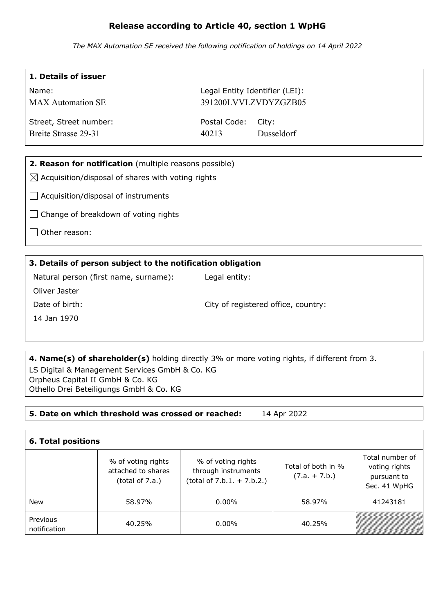## **Release according to Article 40, section 1 WpHG**

*The MAX Automation SE received the following notification of holdings on 14 April 2022*

| 1. Details of issuer                                          |                                |                      |  |  |
|---------------------------------------------------------------|--------------------------------|----------------------|--|--|
| Name:                                                         | Legal Entity Identifier (LEI): |                      |  |  |
| <b>MAX</b> Automation SE                                      |                                | 391200LVVLZVDYZGZB05 |  |  |
| Street, Street number:                                        | Postal Code:                   | City:                |  |  |
| Breite Strasse 29-31                                          | 40213                          | Dusseldorf           |  |  |
|                                                               |                                |                      |  |  |
| 2. Reason for notification (multiple reasons possible)        |                                |                      |  |  |
| $\boxtimes$ Acquisition/disposal of shares with voting rights |                                |                      |  |  |
| Acquisition/disposal of instruments                           |                                |                      |  |  |
| Change of breakdown of voting rights                          |                                |                      |  |  |
| Other reason:                                                 |                                |                      |  |  |

| 3. Details of person subject to the notification obligation |                                     |  |  |
|-------------------------------------------------------------|-------------------------------------|--|--|
| Natural person (first name, surname):                       | Legal entity:                       |  |  |
| Oliver Jaster                                               |                                     |  |  |
| Date of birth:                                              | City of registered office, country: |  |  |
| 14 Jan 1970                                                 |                                     |  |  |
|                                                             |                                     |  |  |
|                                                             |                                     |  |  |

**4. Name(s) of shareholder(s)** holding directly 3% or more voting rights, if different from 3. LS Digital & Management Services GmbH & Co. KG Orpheus Capital II GmbH & Co. KG Othello Drei Beteiligungs GmbH & Co. KG

## **5. Date on which threshold was crossed or reached:** 14 Apr 2022

| <b>6. Total positions</b> |                                                                |                                                                           |                                       |                                                                 |
|---------------------------|----------------------------------------------------------------|---------------------------------------------------------------------------|---------------------------------------|-----------------------------------------------------------------|
|                           | % of voting rights<br>attached to shares<br>(total of $7.a.$ ) | % of voting rights<br>through instruments<br>$(total of 7.b.1. + 7.b.2.)$ | Total of both in %<br>$(7.a. + 7.b.)$ | Total number of<br>voting rights<br>pursuant to<br>Sec. 41 WpHG |
| <b>New</b>                | 58.97%                                                         | $0.00\%$                                                                  | 58.97%                                | 41243181                                                        |
| Previous<br>notification  | 40.25%                                                         | $0.00\%$                                                                  | 40.25%                                |                                                                 |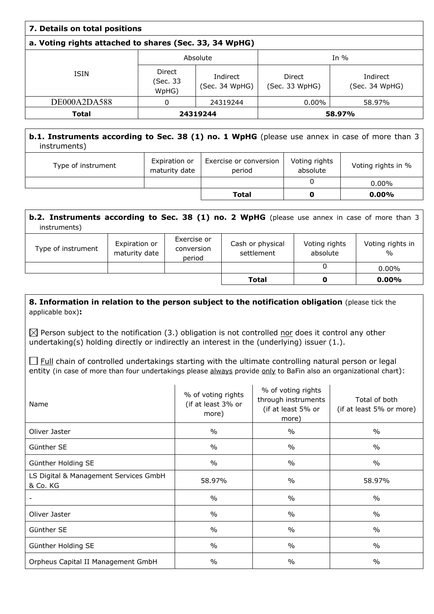| 7. Details on total positions                          |                             |                            |                          |                            |  |
|--------------------------------------------------------|-----------------------------|----------------------------|--------------------------|----------------------------|--|
| a. Voting rights attached to shares (Sec. 33, 34 WpHG) |                             |                            |                          |                            |  |
|                                                        |                             | Absolute                   |                          | In $%$                     |  |
| <b>ISIN</b>                                            | Direct<br>(Sec. 33<br>WpHG) | Indirect<br>(Sec. 34 WpHG) | Direct<br>(Sec. 33 WpHG) | Indirect<br>(Sec. 34 WpHG) |  |
| DE000A2DA588                                           | 0                           | 24319244                   | $0.00\%$                 | 58.97%                     |  |
| <b>Total</b>                                           | 24319244                    |                            |                          | 58.97%                     |  |

## **b.1. Instruments according to Sec. 38 (1) no. 1 WpHG** (please use annex in case of more than 3 instruments)

| Type of instrument | Expiration or<br>maturity date | Exercise or conversion<br>period | Voting rights<br>absolute | Voting rights in % |
|--------------------|--------------------------------|----------------------------------|---------------------------|--------------------|
|                    |                                |                                  |                           | $0.00\%$           |
|                    |                                | Total                            |                           | $0.00\%$           |

| <b>b.2. Instruments according to Sec. 38 (1) no. 2 WpHG</b> (please use annex in case of more than 3<br>instruments)                                                        |  |  |       |                  |          |
|-----------------------------------------------------------------------------------------------------------------------------------------------------------------------------|--|--|-------|------------------|----------|
| Exercise or<br>Cash or physical<br>Expiration or<br>Voting rights<br>Type of instrument<br>conversion<br>absolute<br>maturity date<br>settlement<br>$\frac{0}{0}$<br>period |  |  |       | Voting rights in |          |
| $0.00\%$                                                                                                                                                                    |  |  |       |                  |          |
|                                                                                                                                                                             |  |  | Total | O                | $0.00\%$ |

## **8. Information in relation to the person subject to the notification obligation (please tick the** applicable box)**:**

 $\boxtimes$  Person subject to the notification (3.) obligation is not controlled nor does it control any other undertaking(s) holding directly or indirectly an interest in the (underlying) issuer (1.).

 $\Box$  Full chain of controlled undertakings starting with the ultimate controlling natural person or legal entity (in case of more than four undertakings please always provide only to BaFin also an organizational chart):

| Name                                              | % of voting rights<br>(if at least 3% or<br>more) | % of voting rights<br>through instruments<br>(if at least 5% or<br>more) | Total of both<br>(if at least 5% or more) |
|---------------------------------------------------|---------------------------------------------------|--------------------------------------------------------------------------|-------------------------------------------|
| Oliver Jaster                                     | $\frac{0}{0}$                                     | $\%$                                                                     | $\%$                                      |
| Günther SE                                        | $\frac{0}{0}$                                     | $\%$                                                                     | $\frac{0}{0}$                             |
| Günther Holding SE                                | $\frac{0}{0}$                                     | $\%$                                                                     | $\%$                                      |
| LS Digital & Management Services GmbH<br>& Co. KG | 58.97%                                            | $\frac{0}{0}$                                                            | 58.97%                                    |
|                                                   | $\%$                                              | $\%$                                                                     | $\%$                                      |
| Oliver Jaster                                     | $\frac{0}{0}$                                     | $\frac{0}{0}$                                                            | $\frac{0}{0}$                             |
| Günther SE                                        | $\frac{0}{0}$                                     | $\frac{0}{0}$                                                            | $\frac{0}{0}$                             |
| Günther Holding SE                                | $\%$                                              | $\%$                                                                     | $\%$                                      |
| Orpheus Capital II Management GmbH                | $\frac{0}{0}$                                     | $\frac{0}{0}$                                                            | $\%$                                      |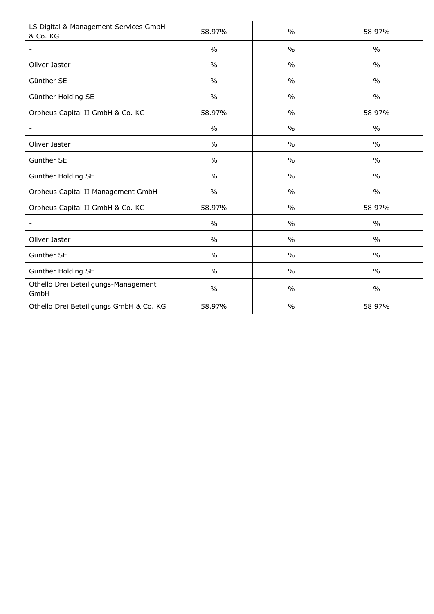| LS Digital & Management Services GmbH<br>& Co. KG | 58.97%        | $\frac{0}{0}$ | 58.97%        |
|---------------------------------------------------|---------------|---------------|---------------|
|                                                   | $\frac{0}{0}$ | $\frac{0}{0}$ | $\frac{0}{0}$ |
| Oliver Jaster                                     | $\frac{0}{0}$ | $\frac{0}{0}$ | $\frac{0}{0}$ |
| Günther SE                                        | $\frac{0}{0}$ | $\frac{0}{0}$ | $\frac{0}{0}$ |
| Günther Holding SE                                | $\frac{0}{0}$ | $\frac{0}{0}$ | $\frac{0}{0}$ |
| Orpheus Capital II GmbH & Co. KG                  | 58.97%        | $\frac{0}{0}$ | 58.97%        |
|                                                   | $\frac{0}{0}$ | $\frac{0}{0}$ | $\frac{0}{0}$ |
| Oliver Jaster                                     | $\frac{0}{0}$ | $\frac{0}{0}$ | $\frac{0}{0}$ |
| Günther SE                                        | $\frac{0}{0}$ | $\frac{0}{0}$ | $\frac{0}{0}$ |
| Günther Holding SE                                | $\frac{0}{0}$ | $\frac{0}{0}$ | $\frac{0}{0}$ |
| Orpheus Capital II Management GmbH                | $\frac{0}{0}$ | $\frac{0}{0}$ | $\frac{0}{0}$ |
| Orpheus Capital II GmbH & Co. KG                  | 58.97%        | $\frac{0}{0}$ | 58.97%        |
|                                                   | $\%$          | $\frac{0}{0}$ | $\frac{0}{0}$ |
| Oliver Jaster                                     | $\%$          | $\frac{0}{0}$ | $\frac{0}{0}$ |
| Günther SE                                        | $\frac{0}{0}$ | $\frac{0}{0}$ | $\frac{0}{0}$ |
| Günther Holding SE                                | $\frac{0}{0}$ | $\frac{0}{0}$ | $\frac{0}{0}$ |
| Othello Drei Beteiligungs-Management<br>GmbH      | $\frac{0}{0}$ | $\frac{0}{0}$ | $\frac{0}{0}$ |
| Othello Drei Beteiligungs GmbH & Co. KG           | 58.97%        | $\frac{0}{0}$ | 58.97%        |